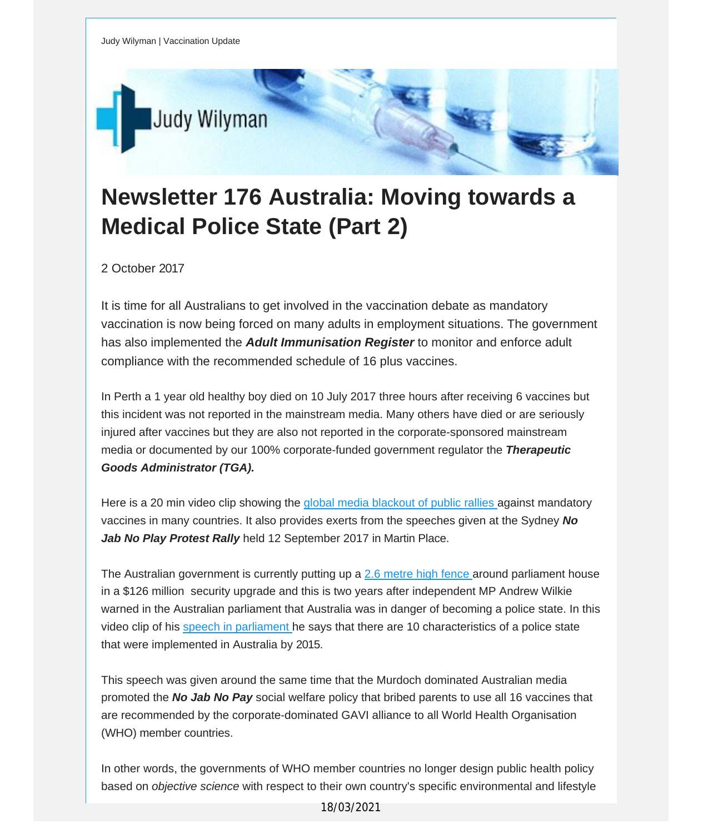

## **Newsletter 176 Australia: Moving towards a Medical Police State (Part 2)**

2 October 2017

It is time for all Australians to get involved in the vaccination debate as mandatory vaccination is now being forced on many adults in employment situations. The government has also implemented the *Adult Immunisation Register* to monitor and enforce adult compliance with the recommended schedule of 16 plus vaccines.

In Perth a 1 year old healthy boy died on 10 July 2017 three hours after receiving 6 vaccines but this incident was not reported in the mainstream media. Many others have died or are seriously injured after vaccines but they are also not reported in the corporate-sponsored mainstream media or documented by our 100% corporate-funded government regulator the *Therapeutic Goods Administrator (TGA).*

Here is a 20 min video clip showing the global media [blackout](http://vaccinationdecisions.us8.list-manage1.com/track/click?u=f20605fde3732e41929f4a3f2&id=e3a2d79b87&e=fec8337d3c) of public rallies against mandatory vaccines in many countries. It also provides exerts from the speeches given at the Sydney *No Jab No Play Protest Rally* held 12 September 2017 in Martin Place.

The Australian government is currently putting up a 2.6 [metre](http://vaccinationdecisions.us8.list-manage.com/track/click?u=f20605fde3732e41929f4a3f2&id=bd38726ba4&e=fec8337d3c) high fence around parliament house in a \$126 million security upgrade and this is two years after independent MP Andrew Wilkie warned in the Australian parliament that Australia was in danger of becoming a police state. In this video clip of his speech in [parliament](http://vaccinationdecisions.us8.list-manage1.com/track/click?u=f20605fde3732e41929f4a3f2&id=d9cd038e07&e=fec8337d3c) he says that there are 10 characteristics of a police state that were implemented in Australia by 2015.

This speech was given around the same time that the Murdoch dominated Australian media promoted the *No Jab No Pay* social welfare policy that bribed parents to use all 16 vaccines that are recommended by the corporate-dominated GAVI alliance to all World Health Organisation (WHO) member countries.

In other words, the governments of WHO member countries no longer design public health policy based on *objective science* with respect to their own country's specific environmental and lifestyle

18/03/2021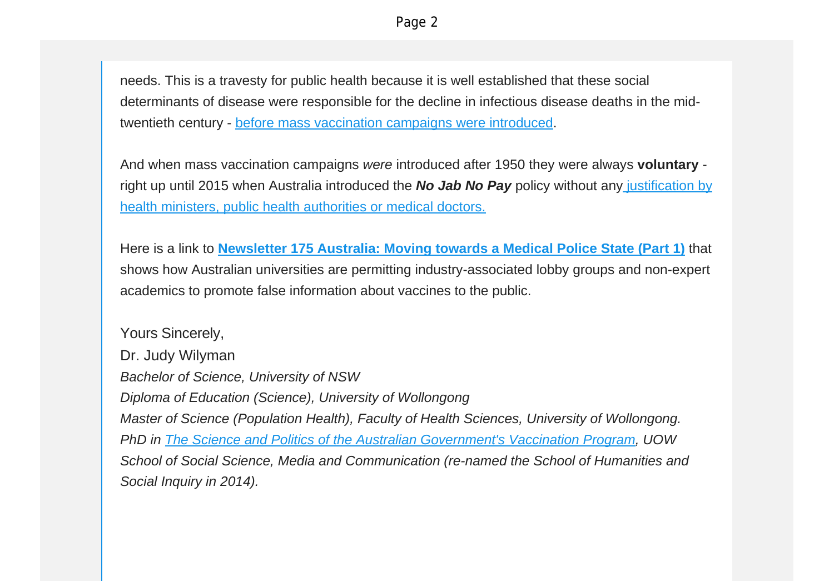needs. This is a travesty for public health because it is well established that these social determinants of disease were responsible for the decline in infectious disease deaths in the midtwentieth century - before mass [vaccination](http://vaccinationdecisions.us8.list-manage.com/track/click?u=f20605fde3732e41929f4a3f2&id=e4d7970374&e=fec8337d3c) campaigns were introduced.

And when mass vaccination campaigns *were* introduced after 1950 they were always **voluntary** right up until 2015 when Australia introduced the *No Jab No Pay* policy without any [justification](http://vaccinationdecisions.us8.list-manage2.com/track/click?u=f20605fde3732e41929f4a3f2&id=170ef3ccd7&e=fec8337d3c) by health ministers, public health [authorities](http://vaccinationdecisions.us8.list-manage2.com/track/click?u=f20605fde3732e41929f4a3f2&id=170ef3ccd7&e=fec8337d3c) or medical doctors.

Here is a link to **[Newsletter](http://vaccinationdecisions.us8.list-manage1.com/track/click?u=f20605fde3732e41929f4a3f2&id=d803573e27&e=fec8337d3c) 175 Australia: Moving towards a Medical Police State (Part 1)** that shows how Australian universities are permitting industry-associated lobby groups and non-expert academics to promote false information about vaccines to the public.

Yours Sincerely, Dr. Judy Wilyman *Bachelor of Science, University of NSW Diploma of Education (Science), University of Wollongong Master of Science (Population Health), Faculty of Health Sciences, University of Wollongong. PhD in The Science and Politics of the Australian [Government's](http://vaccinationdecisions.us8.list-manage.com/track/click?u=f20605fde3732e41929f4a3f2&id=89f88c1e47&e=fec8337d3c) Vaccination Program, UOW School of Social Science, Media and Communication (re-named the School of Humanities and Social Inquiry in 2014).*